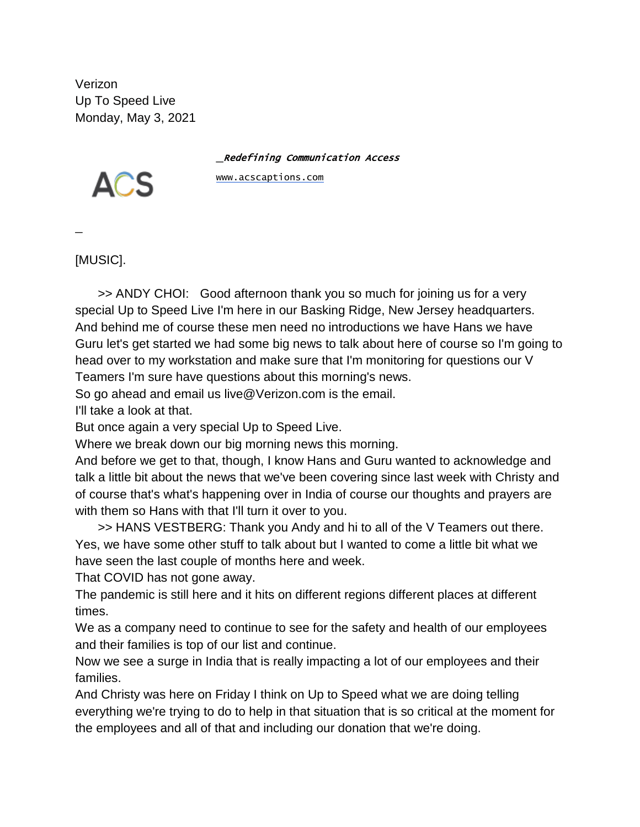Verizon Up To Speed Live Monday, May 3, 2021

\_Redefining Communication Access



[www.acscaptions.com](about:blank)

 $\overline{a}$ 

[MUSIC].

>> ANDY CHOI: Good afternoon thank you so much for joining us for a very special Up to Speed Live I'm here in our Basking Ridge, New Jersey headquarters. And behind me of course these men need no introductions we have Hans we have Guru let's get started we had some big news to talk about here of course so I'm going to head over to my workstation and make sure that I'm monitoring for questions our V Teamers I'm sure have questions about this morning's news.

So go ahead and email us live@Verizon.com is the email.

I'll take a look at that.

But once again a very special Up to Speed Live.

Where we break down our big morning news this morning.

And before we get to that, though, I know Hans and Guru wanted to acknowledge and talk a little bit about the news that we've been covering since last week with Christy and of course that's what's happening over in India of course our thoughts and prayers are with them so Hans with that I'll turn it over to you.

>> HANS VESTBERG: Thank you Andy and hi to all of the V Teamers out there. Yes, we have some other stuff to talk about but I wanted to come a little bit what we have seen the last couple of months here and week.

That COVID has not gone away.

The pandemic is still here and it hits on different regions different places at different times.

We as a company need to continue to see for the safety and health of our employees and their families is top of our list and continue.

Now we see a surge in India that is really impacting a lot of our employees and their families.

And Christy was here on Friday I think on Up to Speed what we are doing telling everything we're trying to do to help in that situation that is so critical at the moment for the employees and all of that and including our donation that we're doing.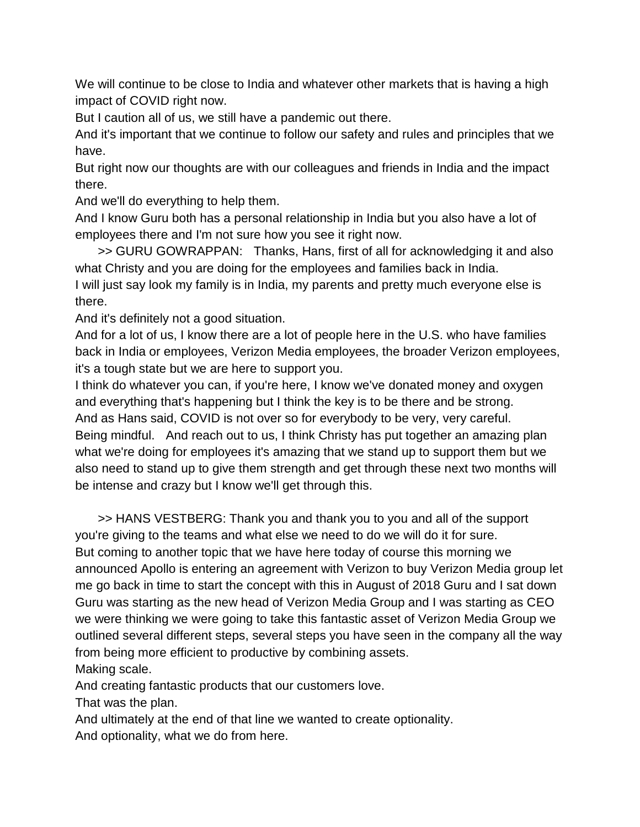We will continue to be close to India and whatever other markets that is having a high impact of COVID right now.

But I caution all of us, we still have a pandemic out there.

And it's important that we continue to follow our safety and rules and principles that we have.

But right now our thoughts are with our colleagues and friends in India and the impact there.

And we'll do everything to help them.

And I know Guru both has a personal relationship in India but you also have a lot of employees there and I'm not sure how you see it right now.

>> GURU GOWRAPPAN: Thanks, Hans, first of all for acknowledging it and also what Christy and you are doing for the employees and families back in India. I will just say look my family is in India, my parents and pretty much everyone else is there.

And it's definitely not a good situation.

And for a lot of us, I know there are a lot of people here in the U.S. who have families back in India or employees, Verizon Media employees, the broader Verizon employees, it's a tough state but we are here to support you.

I think do whatever you can, if you're here, I know we've donated money and oxygen and everything that's happening but I think the key is to be there and be strong. And as Hans said, COVID is not over so for everybody to be very, very careful. Being mindful. And reach out to us, I think Christy has put together an amazing plan what we're doing for employees it's amazing that we stand up to support them but we also need to stand up to give them strength and get through these next two months will be intense and crazy but I know we'll get through this.

>> HANS VESTBERG: Thank you and thank you to you and all of the support you're giving to the teams and what else we need to do we will do it for sure. But coming to another topic that we have here today of course this morning we announced Apollo is entering an agreement with Verizon to buy Verizon Media group let me go back in time to start the concept with this in August of 2018 Guru and I sat down Guru was starting as the new head of Verizon Media Group and I was starting as CEO we were thinking we were going to take this fantastic asset of Verizon Media Group we outlined several different steps, several steps you have seen in the company all the way from being more efficient to productive by combining assets.

Making scale.

And creating fantastic products that our customers love.

That was the plan.

And ultimately at the end of that line we wanted to create optionality. And optionality, what we do from here.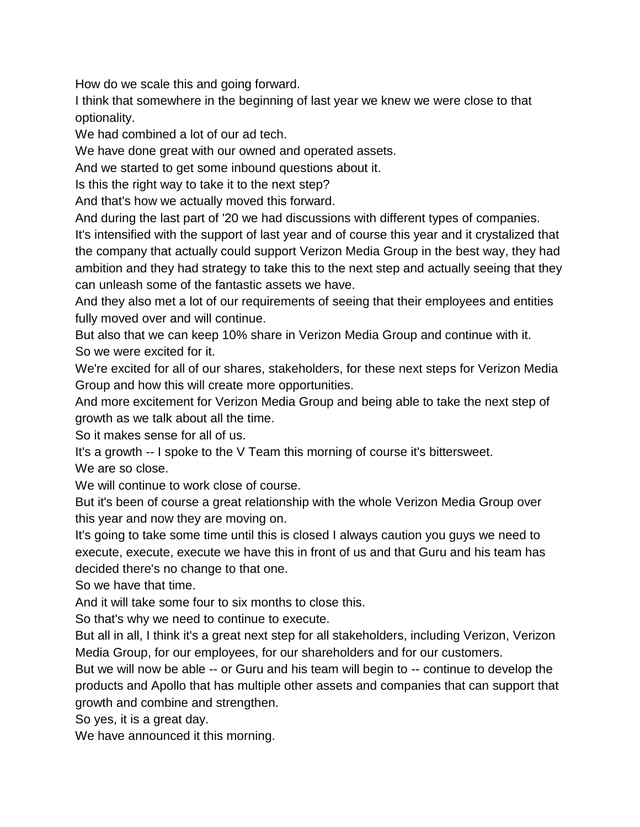How do we scale this and going forward.

I think that somewhere in the beginning of last year we knew we were close to that optionality.

We had combined a lot of our ad tech.

We have done great with our owned and operated assets.

And we started to get some inbound questions about it.

Is this the right way to take it to the next step?

And that's how we actually moved this forward.

And during the last part of '20 we had discussions with different types of companies.

It's intensified with the support of last year and of course this year and it crystalized that the company that actually could support Verizon Media Group in the best way, they had ambition and they had strategy to take this to the next step and actually seeing that they can unleash some of the fantastic assets we have.

And they also met a lot of our requirements of seeing that their employees and entities fully moved over and will continue.

But also that we can keep 10% share in Verizon Media Group and continue with it. So we were excited for it.

We're excited for all of our shares, stakeholders, for these next steps for Verizon Media Group and how this will create more opportunities.

And more excitement for Verizon Media Group and being able to take the next step of growth as we talk about all the time.

So it makes sense for all of us.

It's a growth -- I spoke to the V Team this morning of course it's bittersweet. We are so close.

We will continue to work close of course.

But it's been of course a great relationship with the whole Verizon Media Group over this year and now they are moving on.

It's going to take some time until this is closed I always caution you guys we need to execute, execute, execute we have this in front of us and that Guru and his team has decided there's no change to that one.

So we have that time.

And it will take some four to six months to close this.

So that's why we need to continue to execute.

But all in all, I think it's a great next step for all stakeholders, including Verizon, Verizon Media Group, for our employees, for our shareholders and for our customers.

But we will now be able -- or Guru and his team will begin to -- continue to develop the products and Apollo that has multiple other assets and companies that can support that growth and combine and strengthen.

So yes, it is a great day.

We have announced it this morning.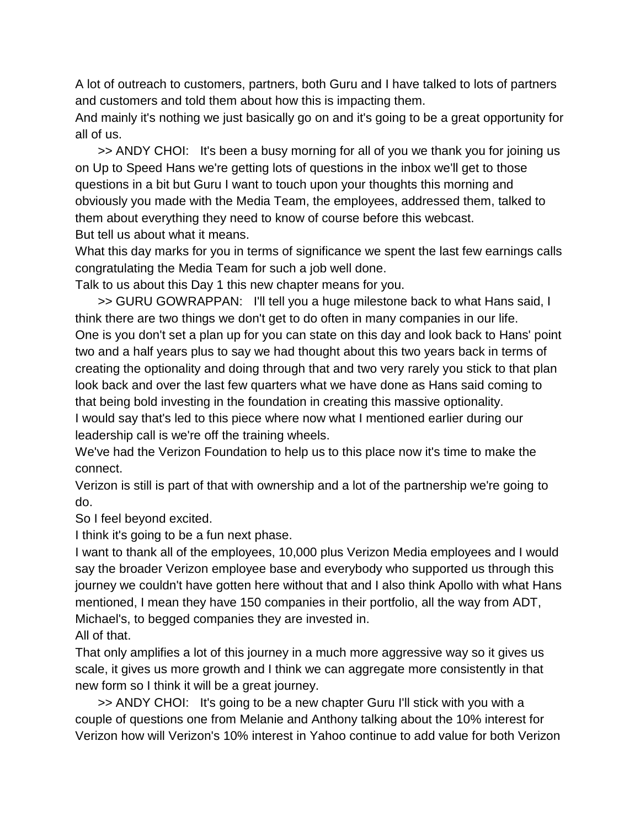A lot of outreach to customers, partners, both Guru and I have talked to lots of partners and customers and told them about how this is impacting them.

And mainly it's nothing we just basically go on and it's going to be a great opportunity for all of us.

>> ANDY CHOI: It's been a busy morning for all of you we thank you for joining us on Up to Speed Hans we're getting lots of questions in the inbox we'll get to those questions in a bit but Guru I want to touch upon your thoughts this morning and obviously you made with the Media Team, the employees, addressed them, talked to them about everything they need to know of course before this webcast. But tell us about what it means.

What this day marks for you in terms of significance we spent the last few earnings calls congratulating the Media Team for such a job well done.

Talk to us about this Day 1 this new chapter means for you.

>> GURU GOWRAPPAN: I'll tell you a huge milestone back to what Hans said, I think there are two things we don't get to do often in many companies in our life. One is you don't set a plan up for you can state on this day and look back to Hans' point two and a half years plus to say we had thought about this two years back in terms of creating the optionality and doing through that and two very rarely you stick to that plan look back and over the last few quarters what we have done as Hans said coming to that being bold investing in the foundation in creating this massive optionality.

I would say that's led to this piece where now what I mentioned earlier during our leadership call is we're off the training wheels.

We've had the Verizon Foundation to help us to this place now it's time to make the connect.

Verizon is still is part of that with ownership and a lot of the partnership we're going to do.

So I feel beyond excited.

I think it's going to be a fun next phase.

I want to thank all of the employees, 10,000 plus Verizon Media employees and I would say the broader Verizon employee base and everybody who supported us through this journey we couldn't have gotten here without that and I also think Apollo with what Hans mentioned, I mean they have 150 companies in their portfolio, all the way from ADT, Michael's, to begged companies they are invested in.

All of that.

That only amplifies a lot of this journey in a much more aggressive way so it gives us scale, it gives us more growth and I think we can aggregate more consistently in that new form so I think it will be a great journey.

>> ANDY CHOI: It's going to be a new chapter Guru I'll stick with you with a couple of questions one from Melanie and Anthony talking about the 10% interest for Verizon how will Verizon's 10% interest in Yahoo continue to add value for both Verizon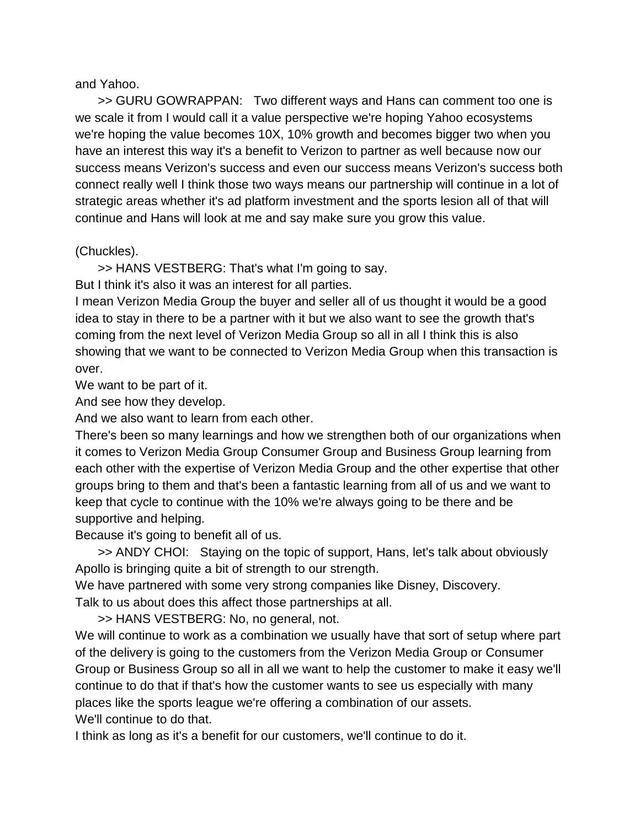and Yahoo.

>> GURU GOWRAPPAN: Two different ways and Hans can comment too one is we scale it from I would call it a value perspective we're hoping Yahoo ecosystems we're hoping the value becomes 10X, 10% growth and becomes bigger two when you have an interest this way it's a benefit to Verizon to partner as well because now our success means Verizon's success and even our success means Verizon's success both connect really well I think those two ways means our partnership will continue in a lot of strategic areas whether it's ad platform investment and the sports lesion all of that will continue and Hans will look at me and say make sure you grow this value.

## (Chuckles).

>> HANS VESTBERG: That's what I'm going to say.

But I think it's also it was an interest for all parties.

I mean Verizon Media Group the buyer and seller all of us thought it would be a good idea to stay in there to be a partner with it but we also want to see the growth that's coming from the next level of Verizon Media Group so all in all I think this is also showing that we want to be connected to Verizon Media Group when this transaction is over.

We want to be part of it.

And see how they develop.

And we also want to learn from each other.

There's been so many learnings and how we strengthen both of our organizations when it comes to Verizon Media Group Consumer Group and Business Group learning from each other with the expertise of Verizon Media Group and the other expertise that other groups bring to them and that's been a fantastic learning from all of us and we want to keep that cycle to continue with the 10% we're always going to be there and be supportive and helping.

Because it's going to benefit all of us.

>> ANDY CHOI: Staying on the topic of support, Hans, let's talk about obviously Apollo is bringing quite a bit of strength to our strength.

We have partnered with some very strong companies like Disney, Discovery. Talk to us about does this affect those partnerships at all.

>> HANS VESTBERG: No, no general, not.

We will continue to work as a combination we usually have that sort of setup where part of the delivery is going to the customers from the Verizon Media Group or Consumer Group or Business Group so all in all we want to help the customer to make it easy we'll continue to do that if that's how the customer wants to see us especially with many places like the sports league we're offering a combination of our assets. We'll continue to do that.

I think as long as it's a benefit for our customers, we'll continue to do it.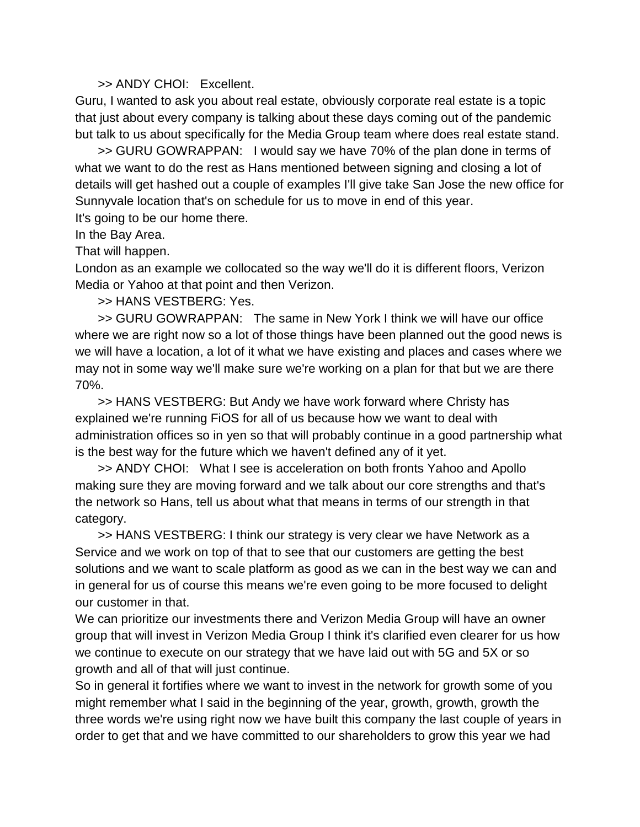## >> ANDY CHOI: Excellent.

Guru, I wanted to ask you about real estate, obviously corporate real estate is a topic that just about every company is talking about these days coming out of the pandemic but talk to us about specifically for the Media Group team where does real estate stand.

>> GURU GOWRAPPAN: I would say we have 70% of the plan done in terms of what we want to do the rest as Hans mentioned between signing and closing a lot of details will get hashed out a couple of examples I'll give take San Jose the new office for Sunnyvale location that's on schedule for us to move in end of this year.

It's going to be our home there.

In the Bay Area.

That will happen.

London as an example we collocated so the way we'll do it is different floors, Verizon Media or Yahoo at that point and then Verizon.

>> HANS VESTBERG: Yes.

>> GURU GOWRAPPAN: The same in New York I think we will have our office where we are right now so a lot of those things have been planned out the good news is we will have a location, a lot of it what we have existing and places and cases where we may not in some way we'll make sure we're working on a plan for that but we are there 70%.

>> HANS VESTBERG: But Andy we have work forward where Christy has explained we're running FiOS for all of us because how we want to deal with administration offices so in yen so that will probably continue in a good partnership what is the best way for the future which we haven't defined any of it yet.

>> ANDY CHOI: What I see is acceleration on both fronts Yahoo and Apollo making sure they are moving forward and we talk about our core strengths and that's the network so Hans, tell us about what that means in terms of our strength in that category.

>> HANS VESTBERG: I think our strategy is very clear we have Network as a Service and we work on top of that to see that our customers are getting the best solutions and we want to scale platform as good as we can in the best way we can and in general for us of course this means we're even going to be more focused to delight our customer in that.

We can prioritize our investments there and Verizon Media Group will have an owner group that will invest in Verizon Media Group I think it's clarified even clearer for us how we continue to execute on our strategy that we have laid out with 5G and 5X or so growth and all of that will just continue.

So in general it fortifies where we want to invest in the network for growth some of you might remember what I said in the beginning of the year, growth, growth, growth the three words we're using right now we have built this company the last couple of years in order to get that and we have committed to our shareholders to grow this year we had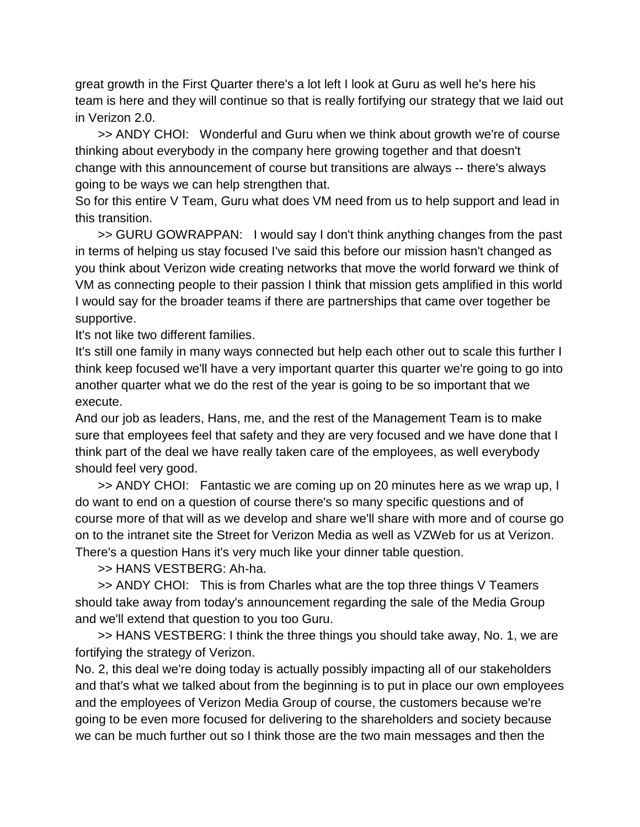great growth in the First Quarter there's a lot left I look at Guru as well he's here his team is here and they will continue so that is really fortifying our strategy that we laid out in Verizon 2.0.

>> ANDY CHOI: Wonderful and Guru when we think about growth we're of course thinking about everybody in the company here growing together and that doesn't change with this announcement of course but transitions are always -- there's always going to be ways we can help strengthen that.

So for this entire V Team, Guru what does VM need from us to help support and lead in this transition.

>> GURU GOWRAPPAN: I would say I don't think anything changes from the past in terms of helping us stay focused I've said this before our mission hasn't changed as you think about Verizon wide creating networks that move the world forward we think of VM as connecting people to their passion I think that mission gets amplified in this world I would say for the broader teams if there are partnerships that came over together be supportive.

It's not like two different families.

It's still one family in many ways connected but help each other out to scale this further I think keep focused we'll have a very important quarter this quarter we're going to go into another quarter what we do the rest of the year is going to be so important that we execute.

And our job as leaders, Hans, me, and the rest of the Management Team is to make sure that employees feel that safety and they are very focused and we have done that I think part of the deal we have really taken care of the employees, as well everybody should feel very good.

>> ANDY CHOI: Fantastic we are coming up on 20 minutes here as we wrap up, I do want to end on a question of course there's so many specific questions and of course more of that will as we develop and share we'll share with more and of course go on to the intranet site the Street for Verizon Media as well as VZWeb for us at Verizon. There's a question Hans it's very much like your dinner table question.

>> HANS VESTBERG: Ah-ha.

>> ANDY CHOI: This is from Charles what are the top three things V Teamers should take away from today's announcement regarding the sale of the Media Group and we'll extend that question to you too Guru.

>> HANS VESTBERG: I think the three things you should take away, No. 1, we are fortifying the strategy of Verizon.

No. 2, this deal we're doing today is actually possibly impacting all of our stakeholders and that's what we talked about from the beginning is to put in place our own employees and the employees of Verizon Media Group of course, the customers because we're going to be even more focused for delivering to the shareholders and society because we can be much further out so I think those are the two main messages and then the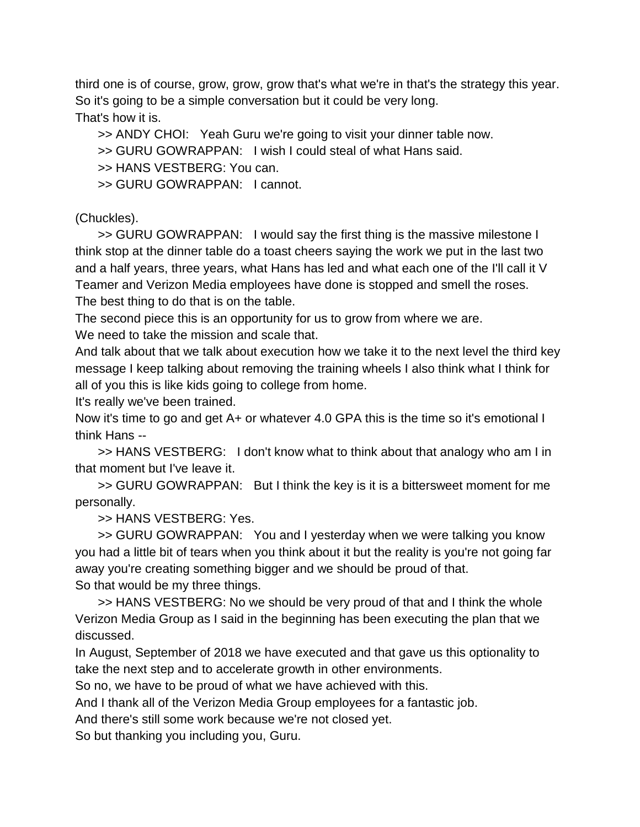third one is of course, grow, grow, grow that's what we're in that's the strategy this year. So it's going to be a simple conversation but it could be very long. That's how it is.

>> ANDY CHOI: Yeah Guru we're going to visit your dinner table now.

>> GURU GOWRAPPAN: I wish I could steal of what Hans said.

>> HANS VESTBERG: You can.

>> GURU GOWRAPPAN: I cannot.

## (Chuckles).

>> GURU GOWRAPPAN: I would say the first thing is the massive milestone I think stop at the dinner table do a toast cheers saying the work we put in the last two and a half years, three years, what Hans has led and what each one of the I'll call it V Teamer and Verizon Media employees have done is stopped and smell the roses. The best thing to do that is on the table.

The second piece this is an opportunity for us to grow from where we are. We need to take the mission and scale that.

And talk about that we talk about execution how we take it to the next level the third key message I keep talking about removing the training wheels I also think what I think for all of you this is like kids going to college from home.

It's really we've been trained.

Now it's time to go and get A+ or whatever 4.0 GPA this is the time so it's emotional I think Hans --

>> HANS VESTBERG: I don't know what to think about that analogy who am I in that moment but I've leave it.

>> GURU GOWRAPPAN: But I think the key is it is a bittersweet moment for me personally.

>> HANS VESTBERG: Yes.

>> GURU GOWRAPPAN: You and I yesterday when we were talking you know you had a little bit of tears when you think about it but the reality is you're not going far away you're creating something bigger and we should be proud of that. So that would be my three things.

>> HANS VESTBERG: No we should be very proud of that and I think the whole Verizon Media Group as I said in the beginning has been executing the plan that we discussed.

In August, September of 2018 we have executed and that gave us this optionality to take the next step and to accelerate growth in other environments.

So no, we have to be proud of what we have achieved with this.

And I thank all of the Verizon Media Group employees for a fantastic job.

And there's still some work because we're not closed yet.

So but thanking you including you, Guru.